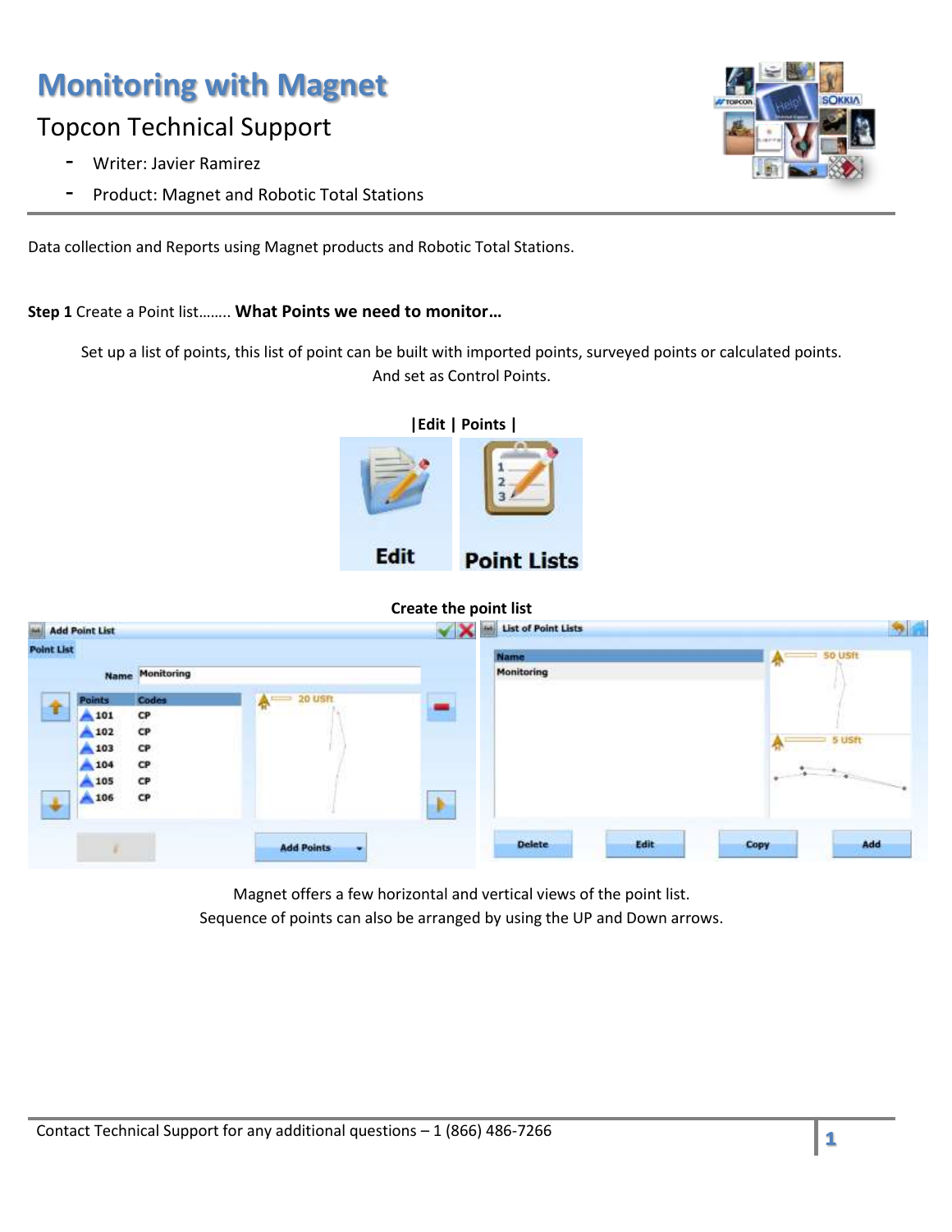### Topcon Technical Support

- Writer: Javier Ramirez
- Product: Magnet and Robotic Total Stations

Data collection and Reports using Magnet products and Robotic Total Stations.

**Step 1** Create a Point list…….. **What Points we need to monitor…**

Set up a list of points, this list of point can be built with imported points, surveyed points or calculated points. And set as Control Points.



|                    |                                            |                                        |                    |               |                                                                                |      | <b>Pin</b>                                                                                                                                                                                                                                                                                                                                                                                                                                                                     |
|--------------------|--------------------------------------------|----------------------------------------|--------------------|---------------|--------------------------------------------------------------------------------|------|--------------------------------------------------------------------------------------------------------------------------------------------------------------------------------------------------------------------------------------------------------------------------------------------------------------------------------------------------------------------------------------------------------------------------------------------------------------------------------|
|                    |                                            |                                        |                    | <b>Name</b>   |                                                                                |      | <b>50 USft</b>                                                                                                                                                                                                                                                                                                                                                                                                                                                                 |
|                    |                                            |                                        |                    | Monitoring    |                                                                                |      |                                                                                                                                                                                                                                                                                                                                                                                                                                                                                |
| <b>Points</b>      |                                            |                                        |                    |               |                                                                                |      |                                                                                                                                                                                                                                                                                                                                                                                                                                                                                |
| 101                | C <sub>P</sub>                             |                                        |                    |               |                                                                                |      |                                                                                                                                                                                                                                                                                                                                                                                                                                                                                |
| 4102               | $\mathbf{C} \mathbf{P}$                    |                                        |                    |               |                                                                                |      | 5 USft                                                                                                                                                                                                                                                                                                                                                                                                                                                                         |
| $A$ 103            | CP                                         |                                        |                    |               |                                                                                |      |                                                                                                                                                                                                                                                                                                                                                                                                                                                                                |
| 104                | CP                                         |                                        |                    |               |                                                                                |      |                                                                                                                                                                                                                                                                                                                                                                                                                                                                                |
| 105                | CP                                         |                                        |                    |               |                                                                                |      | $\begin{array}{c c} \hline \multicolumn{3}{c}{} & \multicolumn{3}{c}{} & \multicolumn{3}{c}{} & \multicolumn{3}{c}{} & \multicolumn{3}{c}{} & \multicolumn{3}{c}{} & \multicolumn{3}{c}{} & \multicolumn{3}{c}{} & \multicolumn{3}{c}{} & \multicolumn{3}{c}{} & \multicolumn{3}{c}{} & \multicolumn{3}{c}{} & \multicolumn{3}{c}{} & \multicolumn{3}{c}{} & \multicolumn{3}{c}{} & \multicolumn{3}{c}{} & \multicolumn{3}{c}{} & \multicolumn{3}{c}{} & \multicolumn{3}{c}{}$ |
| A 106              | CP                                         |                                        | Þ                  |               |                                                                                |      |                                                                                                                                                                                                                                                                                                                                                                                                                                                                                |
|                    |                                            | <b>Add Points</b>                      |                    | <b>Delete</b> | Edit                                                                           | Copy | Add                                                                                                                                                                                                                                                                                                                                                                                                                                                                            |
| $\mathbf{\hat{r}}$ | <b>Add Point List</b><br><b>Point List</b> | <b>Name Monitoring</b><br><b>Codes</b> | $\bigwedge$ 20 usn | ۳             | <b>Create the point list</b><br><b>M</b> List of Point Lists<br>$\checkmark$ X |      | 春                                                                                                                                                                                                                                                                                                                                                                                                                                                                              |

Magnet offers a few horizontal and vertical views of the point list. Sequence of points can also be arranged by using the UP and Down arrows.

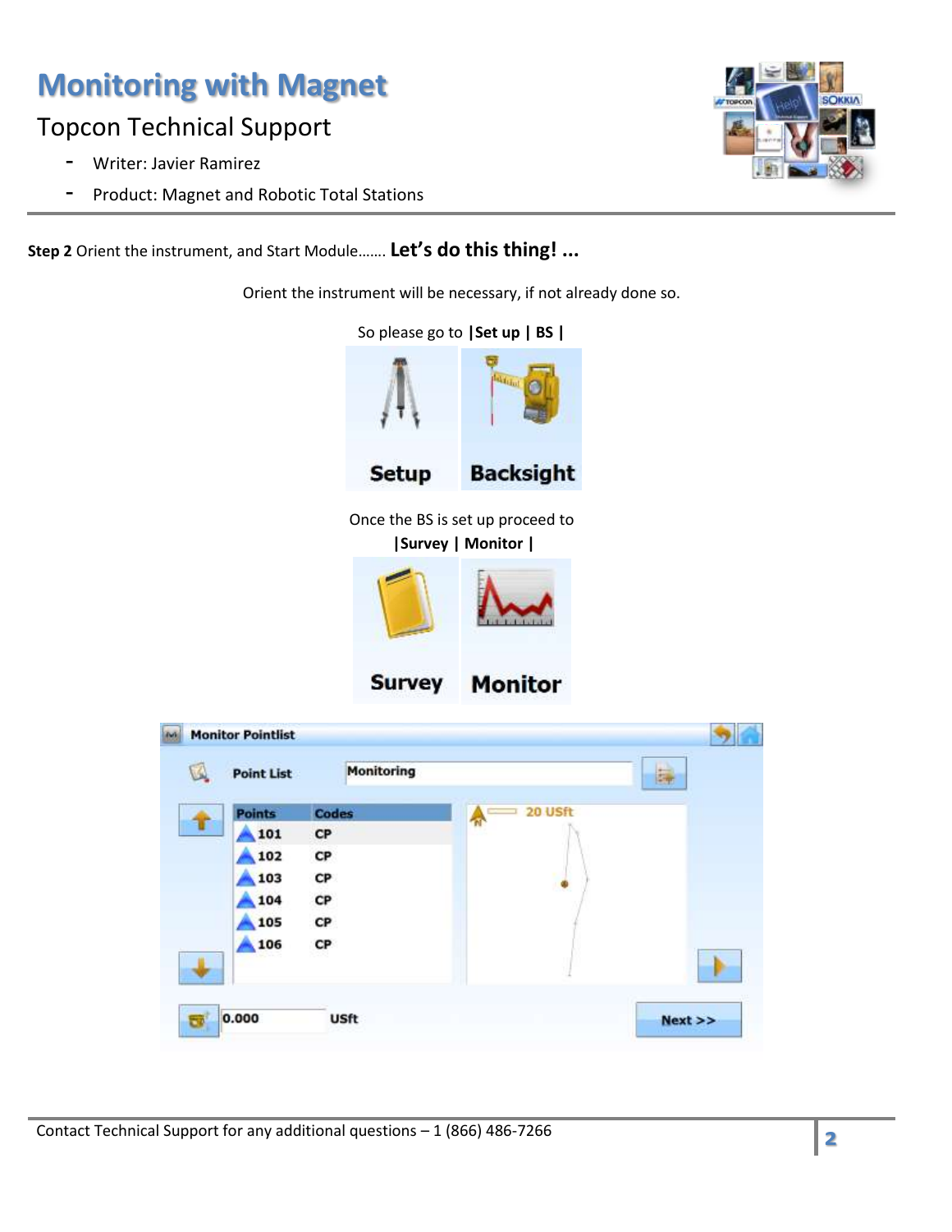## Topcon Technical Support

- Writer: Javier Ramirez
- Product: Magnet and Robotic Total Stations



**Step 2** Orient the instrument, and Start Module……. **Let's do this thing! ...**

Orient the instrument will be necessary, if not already done so.



| ٨ | <b>Point List</b> | Monitoring    |         | ä, |
|---|-------------------|---------------|---------|----|
|   | <b>Points</b>     | <b>Codes</b>  | 20 USft |    |
| т | 101               | CP            |         |    |
|   | 102               | $\mathsf{CP}$ |         |    |
|   | 103               | CP            |         |    |
|   | 104               | $\mathsf{CP}$ |         |    |
|   | 105               | $\mathsf{CP}$ |         |    |
|   | 106               | CP            |         |    |
|   |                   |               |         |    |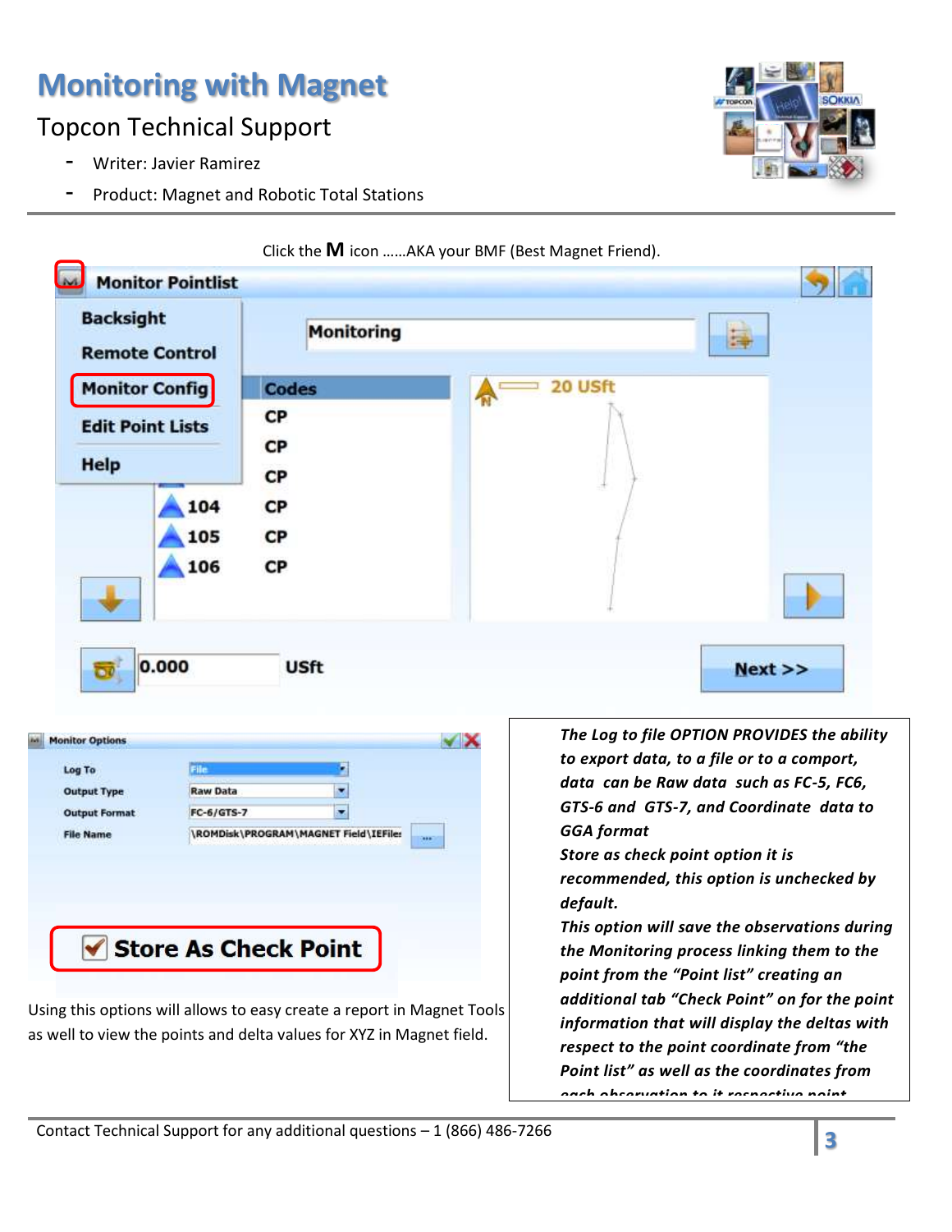## Topcon Technical Support

- Writer: Javier Ramirez
- Product: Magnet and Robotic Total Stations



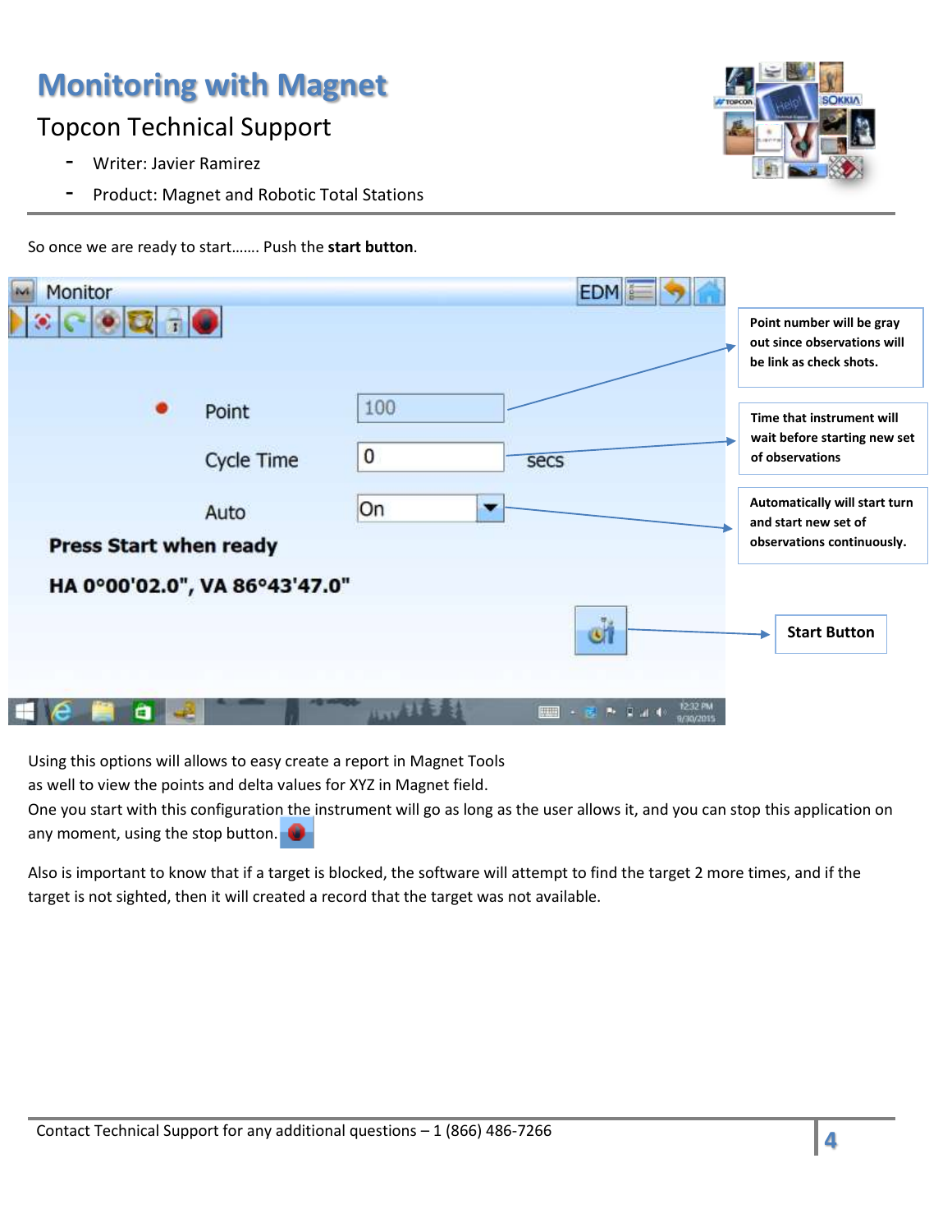## Topcon Technical Support

- Writer: Javier Ramirez
- Product: Magnet and Robotic Total Stations



Monitor **EDM Point number will be gray out since observations will be link as check shots.** 100 Point **Time that instrument will wait before starting new set**   $\bf{0}$ **Cycle Time of observations** secs **Automatically will start turn**  On Auto **and start new set of observations continuously. Press Start when ready** HA 0°00'02.0", VA 86°43'47.0" ۵ł **Start Button**■・客声は4+ α

So once we are ready to start……. Push the **start button**.

Using this options will allows to easy create a report in Magnet Tools

as well to view the points and delta values for XYZ in Magnet field.

One you start with this configuration the instrument will go as long as the user allows it, and you can stop this application on any moment, using the stop button.

Also is important to know that if a target is blocked, the software will attempt to find the target 2 more times, and if the target is not sighted, then it will created a record that the target was not available.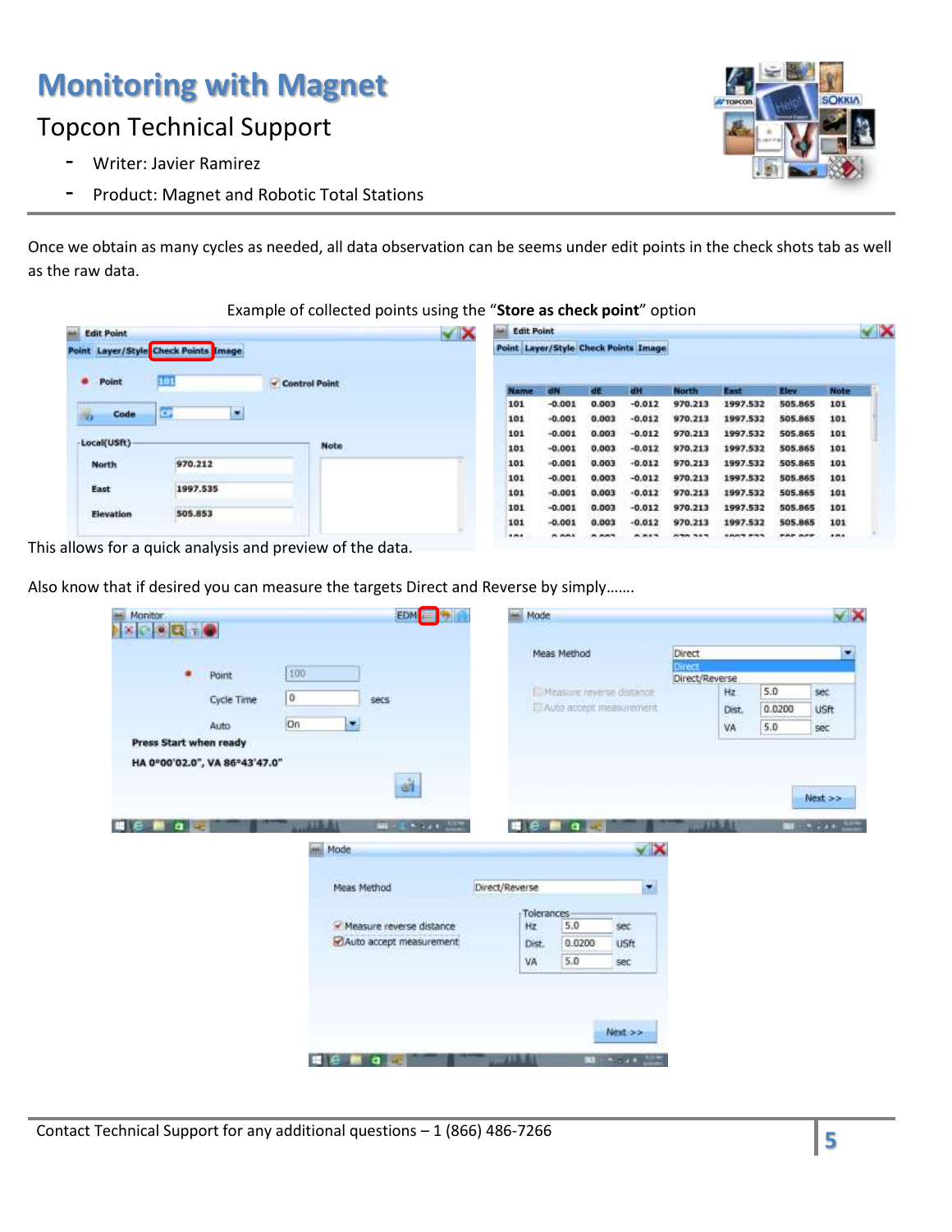### Topcon Technical Support

- Writer: Javier Ramirez
- Product: Magnet and Robotic Total Stations

Once we obtain as many cycles as needed, all data observation can be seems under edit points in the check shots tab as well as the raw data.

### Example of collected points using the "**Store as check point**" option

| <b><i>int</i></b> Edit Point |                                            |               | $\checkmark$ | <b>Edit Point</b>                    |          |           |          |              |          |         |      |
|------------------------------|--------------------------------------------|---------------|--------------|--------------------------------------|----------|-----------|----------|--------------|----------|---------|------|
|                              | Point Layer/Style Check Points Image       |               |              | Point Layer/Style Check Points Image |          |           |          |              |          |         |      |
| ۰<br>Point                   | 101                                        | Control Point |              | <b>Name</b>                          | dN       | <b>de</b> | ЕM       | <b>North</b> | East     | Elev.   | Note |
|                              |                                            |               |              | 101                                  | $-0.001$ | 0.003     | $-0.012$ | 970.213      | 1997.532 | 505,865 | 101  |
| Code<br>诟                    | ×<br>œ                                     |               |              | 101                                  | $-0.001$ | 0.003     | $-0.012$ | 970.213      | 1997.532 | 505.865 | 101  |
|                              |                                            |               |              | 101                                  | $-0.001$ | 0.003     | $-0.012$ | 970.213      | 1997.532 | 505.865 | 101  |
| Local(USft)                  |                                            | <b>Note</b>   |              | 101                                  | $-0.001$ | 0.003     | $-0.012$ | 970.213      | 1997.532 | 505.865 | 101  |
| <b>North</b>                 | 970.212                                    |               |              | 101                                  | $-0.001$ | 0.003     | $-0.012$ | 970.213      | 1997.532 | 505.865 | 101  |
|                              |                                            |               |              | 101                                  | $-0.001$ | 0.003     | $-0.012$ | 970.213      | 1997.532 | 505.865 | 101  |
| East                         | 1997.535                                   |               |              | 101                                  | $-0.001$ | 0.003     | $-0.012$ | 970.213      | 1997.532 | 505.865 | 101  |
| Elevation                    | Carl March 2014 Start Land Carl<br>505.853 |               |              | 101                                  | $-0.001$ | 0.003     | $-0.012$ | 970.213      | 1997.532 | 505.865 | 101  |
|                              |                                            |               |              | 101                                  | $-0.001$ | 0.003     | $-0.012$ | 970.213      | 1997.532 | 505,865 | 101  |
|                              |                                            |               |              |                                      |          |           | A. A.    |              |          |         | 101  |

This allows for a quick analysis and preview of the data.

Also know that if desired you can measure the targets Direct and Reverse by simply…….

| $\mathbf{N}$ $\mathbf{N}$ $\mathbf{N}$ $\mathbf{N}$ $\mathbf{N}$ |                             |                  |                             |                          |        |                   |
|------------------------------------------------------------------|-----------------------------|------------------|-----------------------------|--------------------------|--------|-------------------|
|                                                                  |                             | Meas Method      |                             | Direct                   |        |                   |
| ٠<br>Point                                                       | 100                         |                  |                             | Direct<br>Direct/Reverse |        |                   |
| Cycle Time                                                       | 0<br>secs                   |                  | I. Measure reverse distance | Hz                       | 5.0    | sec               |
|                                                                  |                             |                  | El Auto accept measurement  | Dist.                    | 0.0200 | <b>USft</b>       |
| Auto                                                             | on<br>×                     |                  |                             | VA                       | 5.0    | sec               |
| Press Start when ready                                           |                             |                  |                             |                          |        |                   |
| HA 0°00'02.0", VA 86°43'47.0"                                    |                             |                  |                             |                          |        |                   |
|                                                                  | sit                         |                  |                             |                          |        |                   |
|                                                                  |                             |                  |                             |                          |        | Next >>           |
|                                                                  |                             |                  |                             |                          |        |                   |
|                                                                  |                             |                  |                             |                          |        |                   |
| σl                                                               | 计标准符<br><b>ME-STORY FOR</b> |                  | a                           | 心理学者                     |        |                   |
|                                                                  |                             |                  |                             |                          |        |                   |
|                                                                  | <b>Mode</b>                 |                  | ××                          |                          |        |                   |
|                                                                  |                             |                  |                             |                          |        |                   |
|                                                                  | Meas Method                 | Direct/Reverse   | ×                           |                          |        |                   |
|                                                                  |                             |                  |                             |                          |        |                   |
|                                                                  | - Measure reverse distance  | Tolerances<br>Hz | 5.0<br>sec                  |                          |        |                   |
|                                                                  | Auto accept measurement     | Dist.            | 0.0200<br><b>USR</b>        |                          |        |                   |
|                                                                  |                             | VA               | 5.0<br>sec                  |                          |        |                   |
|                                                                  |                             |                  |                             |                          |        |                   |
|                                                                  |                             |                  |                             |                          |        |                   |
|                                                                  |                             |                  |                             |                          |        |                   |
|                                                                  |                             |                  |                             |                          |        |                   |
|                                                                  |                             |                  | Next >>                     |                          |        | $m - 1$ , $n + 1$ |

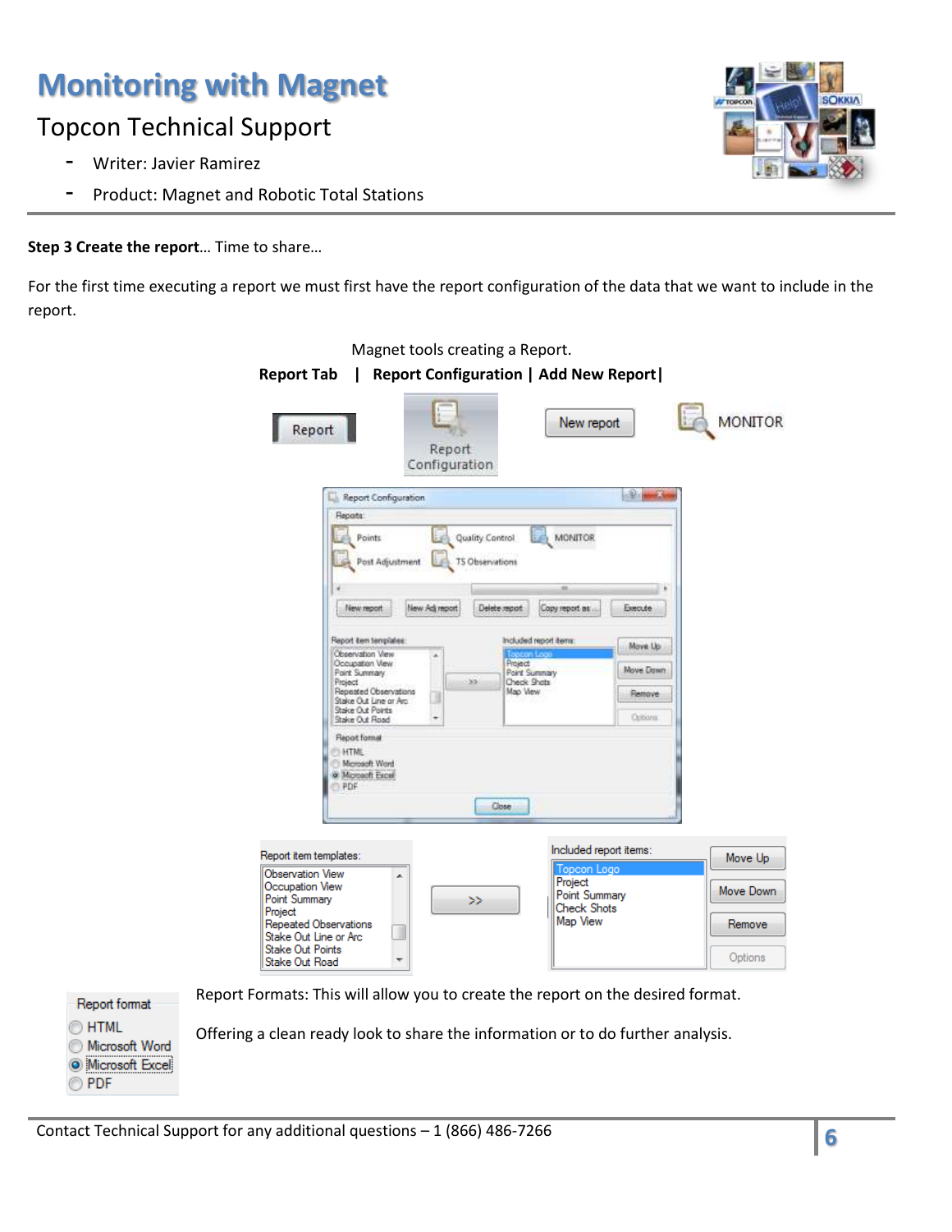## Topcon Technical Support

- Writer: Javier Ramirez
- Product: Magnet and Robotic Total Stations

### **Step 3 Create the report**… Time to share…

For the first time executing a report we must first have the report configuration of the data that we want to include in the report.

| <b>Report Tab</b><br>Report                                                | Report                                    | <b>Report Configuration   Add New Report  </b><br>New report |           | <b>MONITOR</b> |
|----------------------------------------------------------------------------|-------------------------------------------|--------------------------------------------------------------|-----------|----------------|
| Report Configuration                                                       | Configuration                             |                                                              | æ.        |                |
| Reports:<br>Points<br>Post Adjustment                                      | Quality Control<br><b>TS Observations</b> | <b>MONITOR</b>                                               |           |                |
|                                                                            |                                           |                                                              |           |                |
| New report                                                                 | New Adj report                            | Delete report<br>Copy report as                              | Execute   |                |
| Report item templates:                                                     |                                           | Included report items                                        | Move Up   |                |
| Observation View<br>Occupation View<br>Point Summary                       | ×                                         | Project<br>Point Summary                                     | Move Dawn |                |
| Project<br>Repeated Observations                                           | 35                                        | Check Shots<br>Map View                                      | Remove    |                |
| Stake Out Line or Arc.<br>Stake Out Points<br>Stake Out Road               |                                           |                                                              | Options:  |                |
| <b>Report format</b><br>HTML<br>Microsoft Word<br>@ Microsoft Excel<br>PDF |                                           | Close                                                        |           |                |
| Report item templates:<br><b>Observation View</b>                          |                                           | Included report items:<br>Topcon Logo                        |           | Move Up        |
| ▲<br>Occupation View                                                       |                                           | Project<br>Point Summary                                     |           | Move Down      |
| Point Summary<br>Project                                                   | >>                                        | <b>Check Shots</b><br>Map View                               |           | Remove         |
| Repeated Observations<br>Stake Out Line or Arc                             |                                           |                                                              |           |                |
| <b>Stake Out Points</b><br>Stake Out Road<br>┯                             |                                           |                                                              |           | Options        |



Offering a clean ready look to share the information or to do further analysis.